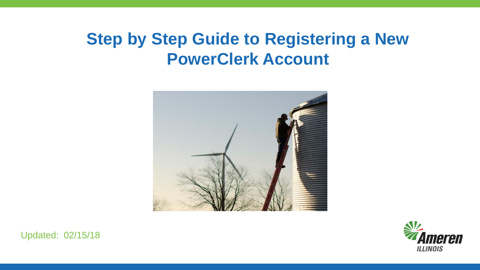## **Step by Step Guide to Registering a New PowerClerk Account**





Updated: 02/15/18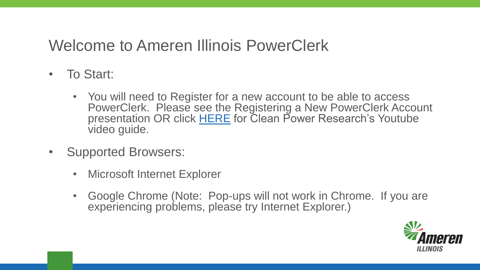## Welcome to Ameren Illinois PowerClerk

- To Start:
	- You will need to Register for a new account to be able to access PowerClerk. Please see the Registering a New PowerClerk Account presentation OR click [HERE](https://www.youtube.com/watch?v=vkKafh_SR-E&feature=youtu.be) for Clean Power Research's Youtube video guide.
- Supported Browsers:
	- Microsoft Internet Explorer
	- Google Chrome (Note: Pop-ups will not work in Chrome. If you are experiencing problems, please try Internet Explorer.)

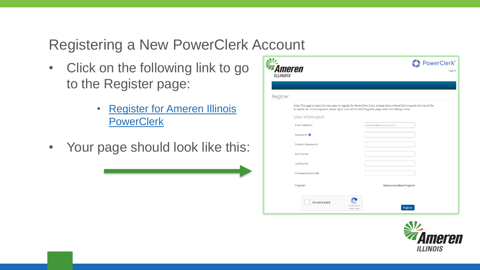- Click on the following link to go to the Register page:
	- [Register for Ameren Illinois](https://amerenillinoisinterconnect.powerclerk.com/MvcAccount/Register?ProgramId=HJ4MHJRY8DS1)  **PowerClerk**
- Your page should look like this:

| <i><b>Ameren</b></i><br><b>ILLINOIS</b> |                                                                                                                                                                                                                                                         |                                | <b>PowerClerk®</b><br>Log In |
|-----------------------------------------|---------------------------------------------------------------------------------------------------------------------------------------------------------------------------------------------------------------------------------------------------------|--------------------------------|------------------------------|
| Register                                |                                                                                                                                                                                                                                                         |                                |                              |
|                                         | Note: This page is meant for new users to register for PowerClerk. If you already have a PowerClerk account and would like<br>to register for more programs, please log in and visit the Add Programs page under the Settings menu.<br>User Information |                                |                              |
|                                         | <b>Email Address:</b><br>Password: <sup>O</sup>                                                                                                                                                                                                         | example@company.com            |                              |
|                                         | Confirm Password:<br>First Name:                                                                                                                                                                                                                        |                                |                              |
|                                         | Last Name:<br>Company (optional):                                                                                                                                                                                                                       |                                |                              |
|                                         | Program<br>I'm not a robot                                                                                                                                                                                                                              | <b>Interconnection Program</b> |                              |
|                                         | <b>reCAPTCHA</b><br>Privacy - Terms                                                                                                                                                                                                                     | Register                       |                              |

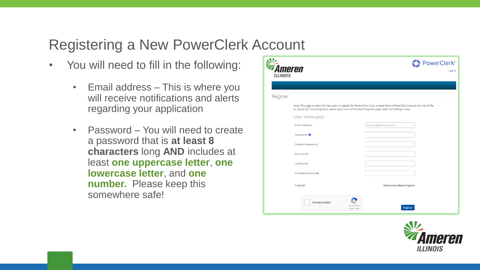- You will need to fill in the following:
	- Email address This is where you will receive notifications and alerts regarding your application
	- Password You will need to create a password that is **at least 8 characters** long **AND** includes at least **one uppercase letter**, **one lowercase letter**, and **one number.** Please keep this somewhere safe!

|                                           |                                                                                                       | <b>PowerClerk®</b>                                                                                                         |
|-------------------------------------------|-------------------------------------------------------------------------------------------------------|----------------------------------------------------------------------------------------------------------------------------|
| <i><b>i Ameren</b></i><br><b>ILLINOIS</b> |                                                                                                       | Log In                                                                                                                     |
|                                           |                                                                                                       |                                                                                                                            |
|                                           |                                                                                                       |                                                                                                                            |
| Register                                  |                                                                                                       |                                                                                                                            |
|                                           | to register for more programs, please log in and visit the Add Programs page under the Settings menu. | Note: This page is meant for new users to register for PowerClerk. If you already have a PowerClerk account and would like |
|                                           | User Information                                                                                      |                                                                                                                            |
|                                           | <b>Email Address:</b>                                                                                 | example@company.com                                                                                                        |
|                                           | Password: <sup>O</sup>                                                                                |                                                                                                                            |
|                                           | Confirm Password:                                                                                     |                                                                                                                            |
|                                           | First Name:                                                                                           |                                                                                                                            |
|                                           | Last Name:                                                                                            |                                                                                                                            |
|                                           | Company (optional):                                                                                   |                                                                                                                            |
|                                           | Program                                                                                               | <b>Interconnection Program</b>                                                                                             |
|                                           |                                                                                                       |                                                                                                                            |
|                                           | I'm not a robot                                                                                       |                                                                                                                            |
|                                           | reCAPTCHA<br>Privacy - Terms                                                                          | Register                                                                                                                   |

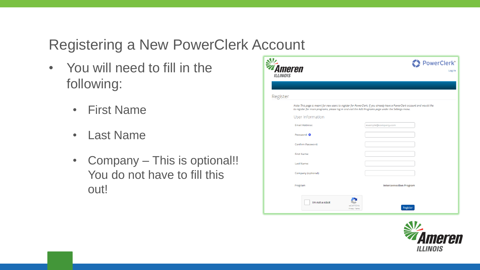- You will need to fill in the following:
	- First Name
	- Last Name
	- Company This is optional!! You do not have to fill this out!

| Ameren<br><b>ILLINOIS</b> |                              |                                                                                                                                                                                                                                     | PowerClerk <sup>®</sup><br>Log In |
|---------------------------|------------------------------|-------------------------------------------------------------------------------------------------------------------------------------------------------------------------------------------------------------------------------------|-----------------------------------|
|                           |                              |                                                                                                                                                                                                                                     |                                   |
| Register                  |                              |                                                                                                                                                                                                                                     |                                   |
| User Information          |                              | Note: This page is meant for new users to register for PowerClerk. If you already have a PowerClerk account and would like<br>to register for more programs, please log in and visit the Add Programs page under the Settings menu. |                                   |
| <b>Email Address:</b>     |                              | example@company.com                                                                                                                                                                                                                 |                                   |
| Password: <sup>O</sup>    |                              |                                                                                                                                                                                                                                     |                                   |
| Confirm Password:         |                              |                                                                                                                                                                                                                                     |                                   |
| First Name:               |                              |                                                                                                                                                                                                                                     |                                   |
| Last Name:                |                              |                                                                                                                                                                                                                                     |                                   |
| Company (optional):       |                              |                                                                                                                                                                                                                                     |                                   |
| Program                   |                              | <b>Interconnection Program</b>                                                                                                                                                                                                      |                                   |
| I'm not a robot           | reCAPTCHA<br>Privacy - Terms | Register                                                                                                                                                                                                                            |                                   |

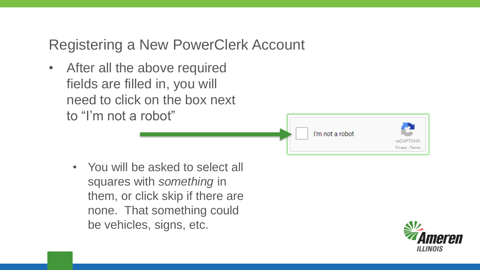• After all the above required fields are filled in, you will need to click on the box next to "I'm not a robot"

I'm not a robot

• You will be asked to select all squares with *something* in them, or click skip if there are none. That something could be vehicles, signs, etc.



Privacy - Terms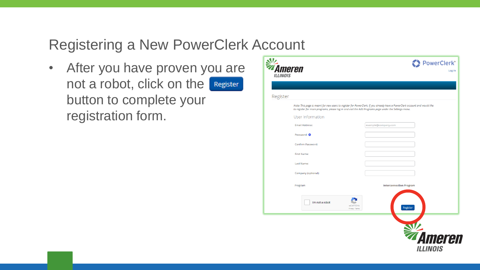• After you have proven you are not a robot, click on the **Register** button to complete your registration form.

|                                         |                                                                                                       | PowerClerk®                                                                                                                |
|-----------------------------------------|-------------------------------------------------------------------------------------------------------|----------------------------------------------------------------------------------------------------------------------------|
| <i><b>Ameren</b></i><br><b>ILLINOIS</b> |                                                                                                       | Log In                                                                                                                     |
|                                         |                                                                                                       |                                                                                                                            |
| Register                                |                                                                                                       |                                                                                                                            |
|                                         | to register for more programs, please log in and visit the Add Programs page under the Settings menu. | Note: This page is meant for new users to register for PowerClerk. If you already have a PowerClerk account and would like |
|                                         | User Information                                                                                      |                                                                                                                            |
|                                         | <b>Email Address:</b>                                                                                 | example@company.com                                                                                                        |
|                                         | Password: <sup>O</sup>                                                                                |                                                                                                                            |
|                                         | Confirm Password:                                                                                     |                                                                                                                            |
|                                         | First Name:                                                                                           |                                                                                                                            |
|                                         | Last Name:                                                                                            |                                                                                                                            |
|                                         | Company (optional):                                                                                   |                                                                                                                            |
|                                         | Program                                                                                               | <b>Interconnection Program</b>                                                                                             |
|                                         | I'm not a robot<br>reCAPTCHA<br>Privacy - Terms                                                       | Register                                                                                                                   |
|                                         |                                                                                                       | <b><i><b>Ameren</b></i></b><br>ILLINOIS                                                                                    |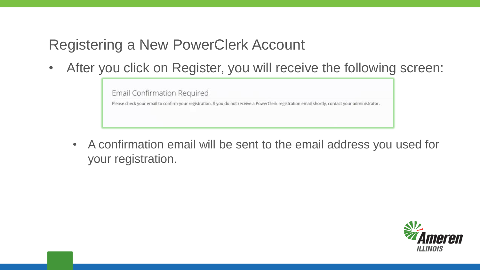• After you click on Register, you will receive the following screen:

Email Confirmation Required Please check your email to confirm your registration. If you do not receive a PowerClerk registration email shortly, contact your administrator.

• A confirmation email will be sent to the email address you used for your registration.

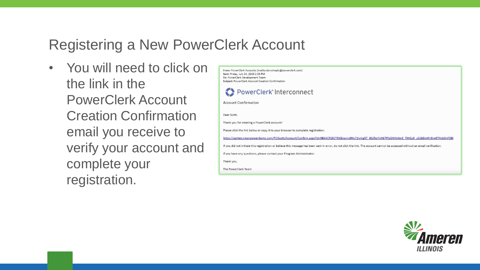• You will need to click on the link in the PowerClerk Account Creation Confirmation email you receive to verify your account and complete your registration.

| From: PowerClerk Accounts [mailto:donotreply@powerclerk.com]<br>Sent: Friday, July 24, 2015 2:33 PM<br>To: PowerClerk Development Team<br>Subject: PowerClerk Account Creation Confirmation |
|---------------------------------------------------------------------------------------------------------------------------------------------------------------------------------------------|
| PowerClerk <sup>®</sup> Interconnect                                                                                                                                                        |
| Account Confirmation                                                                                                                                                                        |
| Dear Scott.                                                                                                                                                                                 |
| Thank you for creating a PowerClerk account!                                                                                                                                                |
| Please click the link below or copy it to your browser to complete registration.                                                                                                            |
| https://cprtest.cleanpowerdemo.com/PCIScott/Account/Confirm.aspx?id=9B4ACPZ6CY5K&key=z9Nx71lvmg5T 8GJ5xjYnh67PfpGWAnlm3 TMGp9 uS1B8mtfn9Jw07HsbDnFDBI                                       |
| If you did not initiate this registration or believe this message has been sent in error, do not click the link. The account cannot be accessed without an email verification.              |
| If you have any questions, please contact your Program Administrator.                                                                                                                       |
| Thank you,                                                                                                                                                                                  |
| The PowerClerk Team                                                                                                                                                                         |

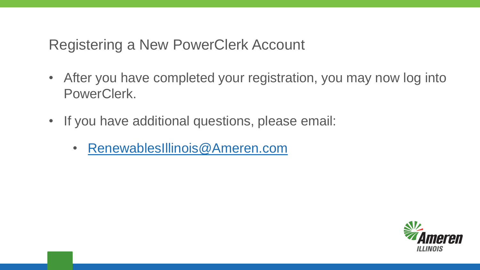- After you have completed your registration, you may now log into PowerClerk.
- If you have additional questions, please email:
	- [RenewablesIllinois@Ameren.com](mailto:RenewablesIllinois@Ameren.com)